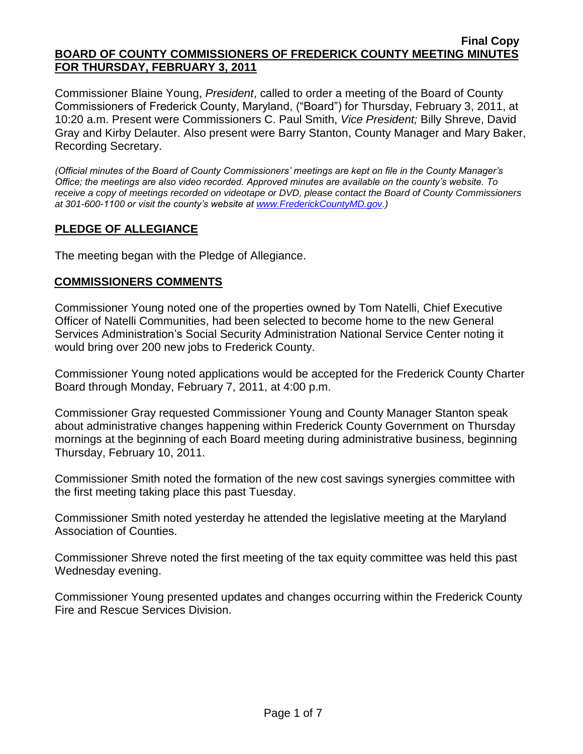Commissioner Blaine Young, *President*, called to order a meeting of the Board of County Commissioners of Frederick County, Maryland, ("Board") for Thursday, February 3, 2011, at 10:20 a.m. Present were Commissioners C. Paul Smith, *Vice President;* Billy Shreve, David Gray and Kirby Delauter. Also present were Barry Stanton, County Manager and Mary Baker, Recording Secretary.

*(Official minutes of the Board of County Commissioners' meetings are kept on file in the County Manager's Office; the meetings are also video recorded. Approved minutes are available on the county's website. To receive a copy of meetings recorded on videotape or DVD, please contact the Board of County Commissioners at 301-600-1100 or visit the county's website at [www.FrederickCountyMD.gov.](http://www.frederickcountymd.gov/))*

# **PLEDGE OF ALLEGIANCE**

The meeting began with the Pledge of Allegiance.

## **COMMISSIONERS COMMENTS**

Commissioner Young noted one of the properties owned by Tom Natelli, Chief Executive Officer of Natelli Communities, had been selected to become home to the new General Services Administration's Social Security Administration National Service Center noting it would bring over 200 new jobs to Frederick County.

Commissioner Young noted applications would be accepted for the Frederick County Charter Board through Monday, February 7, 2011, at 4:00 p.m.

Commissioner Gray requested Commissioner Young and County Manager Stanton speak about administrative changes happening within Frederick County Government on Thursday mornings at the beginning of each Board meeting during administrative business, beginning Thursday, February 10, 2011.

Commissioner Smith noted the formation of the new cost savings synergies committee with the first meeting taking place this past Tuesday.

Commissioner Smith noted yesterday he attended the legislative meeting at the Maryland Association of Counties.

Commissioner Shreve noted the first meeting of the tax equity committee was held this past Wednesday evening.

Commissioner Young presented updates and changes occurring within the Frederick County Fire and Rescue Services Division.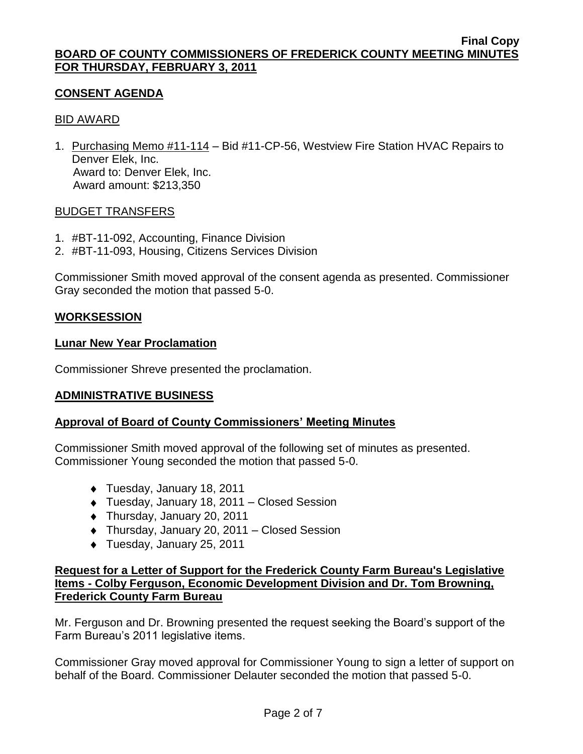## **CONSENT AGENDA**

### BID AWARD

1. Purchasing Memo #11-114 – Bid #11-CP-56, Westview Fire Station HVAC Repairs to Denver Elek, Inc. Award to: Denver Elek, Inc. Award amount: \$213,350

### BUDGET TRANSFERS

- 1. #BT-11-092, Accounting, Finance Division
- 2. #BT-11-093, Housing, Citizens Services Division

Commissioner Smith moved approval of the consent agenda as presented. Commissioner Gray seconded the motion that passed 5-0.

## **WORKSESSION**

### **Lunar New Year Proclamation**

Commissioner Shreve presented the proclamation.

## **ADMINISTRATIVE BUSINESS**

## **Approval of Board of County Commissioners' Meeting Minutes**

Commissioner Smith moved approval of the following set of minutes as presented. Commissioner Young seconded the motion that passed 5-0.

- ◆ Tuesday, January 18, 2011
- Tuesday, January 18, 2011 Closed Session
- Thursday, January 20, 2011
- Thursday, January 20, 2011 Closed Session
- ◆ Tuesday, January 25, 2011

## **Request for a Letter of Support for the Frederick County Farm Bureau's Legislative Items - Colby Ferguson, Economic Development Division and Dr. Tom Browning, Frederick County Farm Bureau**

Mr. Ferguson and Dr. Browning presented the request seeking the Board's support of the Farm Bureau's 2011 legislative items.

Commissioner Gray moved approval for Commissioner Young to sign a letter of support on behalf of the Board. Commissioner Delauter seconded the motion that passed 5-0.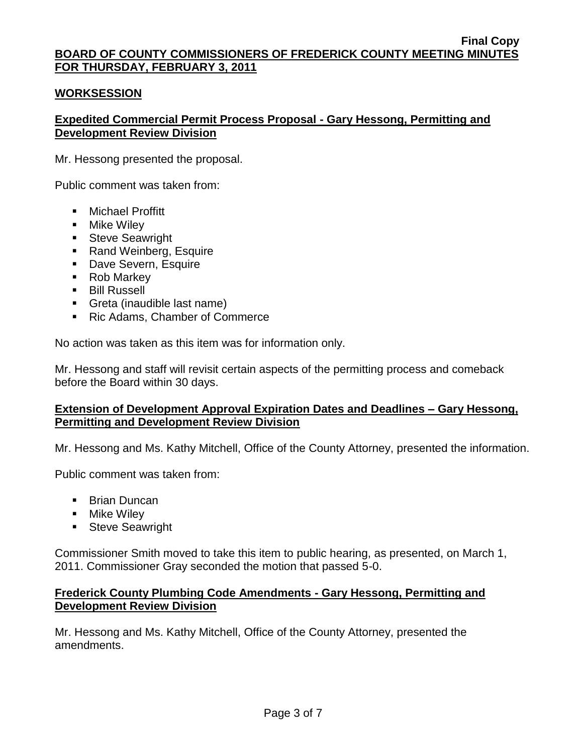## **WORKSESSION**

# **Expedited Commercial Permit Process Proposal - Gary Hessong, Permitting and Development Review Division**

Mr. Hessong presented the proposal.

Public comment was taken from:

- **Nichael Proffitt**
- **Nike Wiley**
- **Steve Seawright**
- Rand Weinberg, Esquire
- **Dave Severn, Esquire**
- Rob Markey
- **Bill Russell**
- Greta (inaudible last name)
- Ric Adams, Chamber of Commerce

No action was taken as this item was for information only.

Mr. Hessong and staff will revisit certain aspects of the permitting process and comeback before the Board within 30 days.

## **Extension of Development Approval Expiration Dates and Deadlines – Gary Hessong, Permitting and Development Review Division**

Mr. Hessong and Ms. Kathy Mitchell, Office of the County Attorney, presented the information.

Public comment was taken from:

- **Brian Duncan**
- **Nike Wiley**
- **Steve Seawright**

Commissioner Smith moved to take this item to public hearing, as presented, on March 1, 2011. Commissioner Gray seconded the motion that passed 5-0.

## **Frederick County Plumbing Code Amendments - Gary Hessong, Permitting and Development Review Division**

Mr. Hessong and Ms. Kathy Mitchell, Office of the County Attorney, presented the amendments.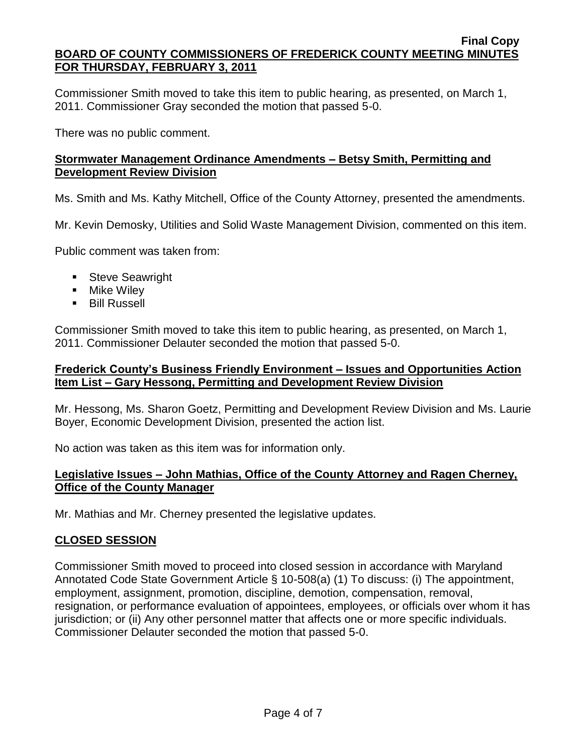Commissioner Smith moved to take this item to public hearing, as presented, on March 1, 2011. Commissioner Gray seconded the motion that passed 5-0.

There was no public comment.

# **Stormwater Management Ordinance Amendments – Betsy Smith, Permitting and Development Review Division**

Ms. Smith and Ms. Kathy Mitchell, Office of the County Attorney, presented the amendments.

Mr. Kevin Demosky, Utilities and Solid Waste Management Division, commented on this item.

Public comment was taken from:

- **Steve Seawright**
- **Nike Wiley**
- **Bill Russell**

Commissioner Smith moved to take this item to public hearing, as presented, on March 1, 2011. Commissioner Delauter seconded the motion that passed 5-0.

### **Frederick County's Business Friendly Environment – Issues and Opportunities Action Item List – Gary Hessong, Permitting and Development Review Division**

Mr. Hessong, Ms. Sharon Goetz, Permitting and Development Review Division and Ms. Laurie Boyer, Economic Development Division, presented the action list.

No action was taken as this item was for information only.

## **Legislative Issues – John Mathias, Office of the County Attorney and Ragen Cherney, Office of the County Manager**

Mr. Mathias and Mr. Cherney presented the legislative updates.

# **CLOSED SESSION**

Commissioner Smith moved to proceed into closed session in accordance with Maryland Annotated Code State Government Article § 10-508(a) (1) To discuss: (i) The appointment, employment, assignment, promotion, discipline, demotion, compensation, removal, resignation, or performance evaluation of appointees, employees, or officials over whom it has jurisdiction; or (ii) Any other personnel matter that affects one or more specific individuals. Commissioner Delauter seconded the motion that passed 5-0.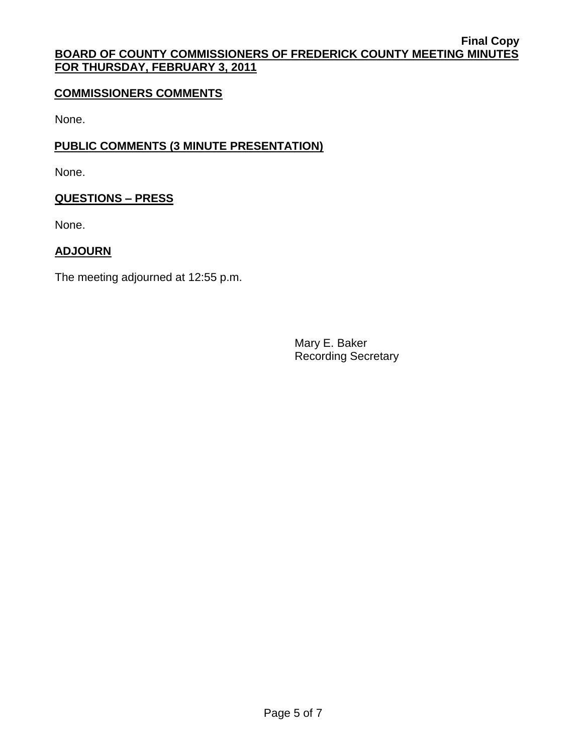# **COMMISSIONERS COMMENTS**

None.

# **PUBLIC COMMENTS (3 MINUTE PRESENTATION)**

None.

## **QUESTIONS – PRESS**

None.

## **ADJOURN**

The meeting adjourned at 12:55 p.m.

Mary E. Baker Recording Secretary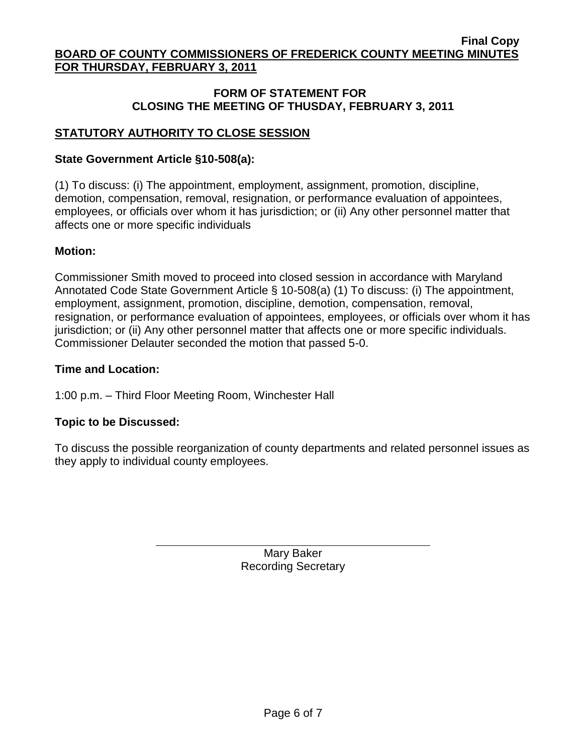# **FORM OF STATEMENT FOR CLOSING THE MEETING OF THUSDAY, FEBRUARY 3, 2011**

# **STATUTORY AUTHORITY TO CLOSE SESSION**

## **State Government Article §10-508(a):**

(1) To discuss: (i) The appointment, employment, assignment, promotion, discipline, demotion, compensation, removal, resignation, or performance evaluation of appointees, employees, or officials over whom it has jurisdiction; or (ii) Any other personnel matter that affects one or more specific individuals

## **Motion:**

Commissioner Smith moved to proceed into closed session in accordance with Maryland Annotated Code State Government Article § 10-508(a) (1) To discuss: (i) The appointment, employment, assignment, promotion, discipline, demotion, compensation, removal, resignation, or performance evaluation of appointees, employees, or officials over whom it has jurisdiction; or (ii) Any other personnel matter that affects one or more specific individuals. Commissioner Delauter seconded the motion that passed 5-0.

## **Time and Location:**

1:00 p.m. – Third Floor Meeting Room, Winchester Hall

## **Topic to be Discussed:**

To discuss the possible reorganization of county departments and related personnel issues as they apply to individual county employees.

> Mary Baker Recording Secretary